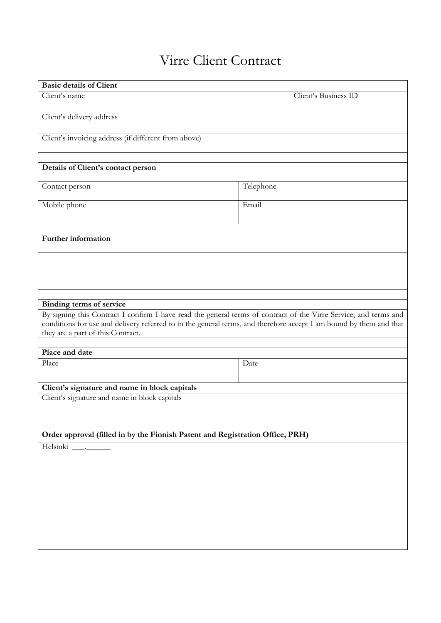# Virre Client Contract

| <b>Basic details of Client</b>                                                                                                                                                                                                                                              |                      |  |
|-----------------------------------------------------------------------------------------------------------------------------------------------------------------------------------------------------------------------------------------------------------------------------|----------------------|--|
| Client's name                                                                                                                                                                                                                                                               | Client's Business ID |  |
| Client's delivery address                                                                                                                                                                                                                                                   |                      |  |
| Client's invoicing address (if different from above)                                                                                                                                                                                                                        |                      |  |
|                                                                                                                                                                                                                                                                             |                      |  |
| Details of Client's contact person                                                                                                                                                                                                                                          |                      |  |
| Contact person                                                                                                                                                                                                                                                              | Telephone            |  |
| Mobile phone                                                                                                                                                                                                                                                                | Email                |  |
| Further information                                                                                                                                                                                                                                                         |                      |  |
|                                                                                                                                                                                                                                                                             |                      |  |
|                                                                                                                                                                                                                                                                             |                      |  |
|                                                                                                                                                                                                                                                                             |                      |  |
| <b>Binding terms of service</b>                                                                                                                                                                                                                                             |                      |  |
| By signing this Contract I confirm I have read the general terms of contract of the Virre Service, and terms and<br>conditions for use and delivery referred to in the general terms, and therefore accept I am bound by them and that<br>they are a part of this Contract. |                      |  |
|                                                                                                                                                                                                                                                                             |                      |  |
| Place and date                                                                                                                                                                                                                                                              |                      |  |
| Place                                                                                                                                                                                                                                                                       | Date                 |  |
| Client's signature and name in block capitals                                                                                                                                                                                                                               |                      |  |
| Client's signature and name in block capitals                                                                                                                                                                                                                               |                      |  |
|                                                                                                                                                                                                                                                                             |                      |  |
| Order approval (filled in by the Finnish Patent and Registration Office, PRH)                                                                                                                                                                                               |                      |  |
| Helsinki _______                                                                                                                                                                                                                                                            |                      |  |
|                                                                                                                                                                                                                                                                             |                      |  |
|                                                                                                                                                                                                                                                                             |                      |  |
|                                                                                                                                                                                                                                                                             |                      |  |
|                                                                                                                                                                                                                                                                             |                      |  |
|                                                                                                                                                                                                                                                                             |                      |  |
|                                                                                                                                                                                                                                                                             |                      |  |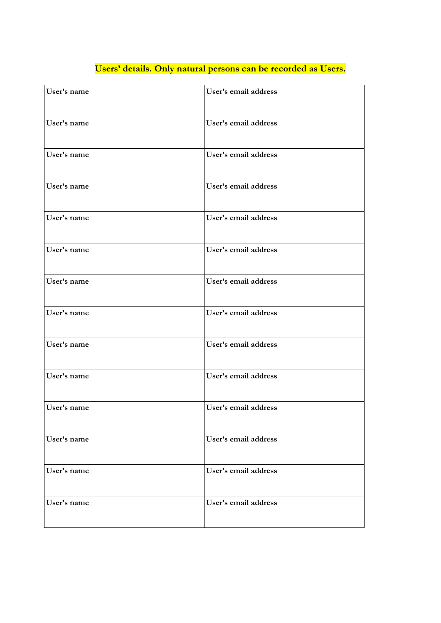| User's name | User's email address |
|-------------|----------------------|
| User's name | User's email address |
| User's name | User's email address |
| User's name | User's email address |
| User's name | User's email address |
| User's name | User's email address |
| User's name | User's email address |
| User's name | User's email address |
| User's name | User's email address |
| User's name | User's email address |
| User's name | User's email address |
| User's name | User's email address |
| User's name | User's email address |
| User's name | User's email address |

## **Users' details. Only natural persons can be recorded as Users.**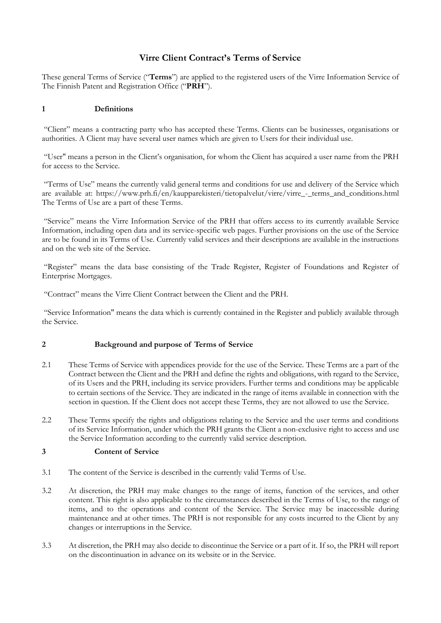### Virre Client Contract's Terms of Service

These general Terms of Service ("**Terms**") are applied to the registered users of the Virre Information Service of The Finnish Patent and Registration Office ("**PRH**").

#### **1 Definitions**

 "Client" means a contracting party who has accepted these Terms. Clients can be businesses, organisations or authorities. A Client may have several user names which are given to Users for their individual use.

 "User" means a person in the Client's organisation, for whom the Client has acquired a user name from the PRH for access to the Service.

 are available at: [https://www.prh.fi/en/kaupparekisteri/tietopalvelut/virre/virre\\_-\\_terms\\_and\\_conditions.html](https://www.prh.fi/en/kaupparekisteri/tietopalvelut/virre/virre_-_terms_and_conditions.html)  "Terms of Use" means the currently valid general terms and conditions for use and delivery of the Service which The Terms of Use are a part of these Terms.

 "Service" means the Virre Information Service of the PRH that offers access to its currently available Service Information, including open data and its service-specific web pages. Further provisions on the use of the Service are to be found in its Terms of Use. Currently valid services and their descriptions are available in the instructions **Virre Client Contract's Terms of Service**<br>
eneral Terms of Service ("**Terms**") are applied to the registered users of the<br>
mish Patent and Registration Office ("**PRH**").<br> **Definitions**<br>
" means a contracting party who has and on the web site of the Service.

 "Register" means the data base consisting of the Trade Register, Register of Foundations and Register of Enterprise Mortgages.

"Contract" means the Virre Client Contract between the Client and the PRH.

"Service Information" means the data which is currently contained in the Register and publicly available through the Service.

#### **2 Background and purpose of Terms of Service**

- 2.1 These Terms of Service with appendices provide for the use of the Service. These Terms are a part of the Contract between the Client and the PRH and define the rights and obligations, with regard to the Service, of its Users and the PRH, including its service providers. Further terms and conditions may be applicable to certain sections of the Service. They are indicated in the range of items available in connection with the section in question. If the Client does not accept these Terms, they are not allowed to use the Service.
- 2.2 These Terms specify the rights and obligations relating to the Service and the user terms and conditions of its Service Information, under which the PRH grants the Client a non-exclusive right to access and use the Service Information according to the currently valid service description.

#### **3 Content of Service**

- 3.1 The content of the Service is described in the currently valid Terms of Use.
- 3.2 At discretion, the PRH may make changes to the range of items, function of the services, and other content. This right is also applicable to the circumstances described in the Terms of Use, to the range of items, and to the operations and content of the Service. The Service may be inaccessible during maintenance and at other times. The PRH is not responsible for any costs incurred to the Client by any changes or interruptions in the Service.
- 3.3 At discretion, the PRH may also decide to discontinue the Service or a part of it. If so, the PRH will report on the discontinuation in advance on its website or in the Service.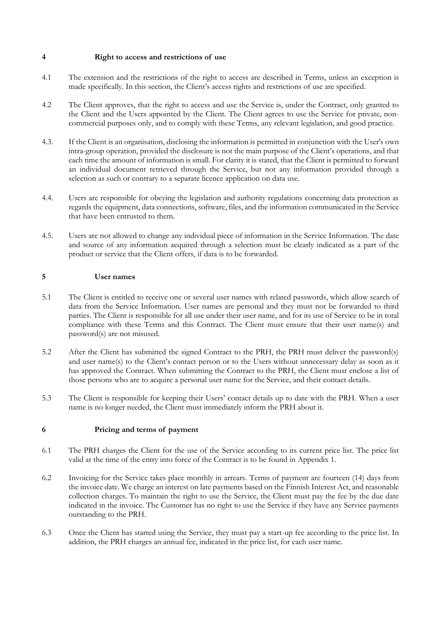- 4.1 The extension and the restrictions of the right to access are described in Terms, unless an exception is made specifically. In this section, the Client's access rights and restrictions of use are specified.
- 4.2 The Client approves, that the right to access and use the Service is, under the Contract, only granted to the Client and the Users appointed by the Client. The Client agrees to use the Service for private, noncommercial purposes only, and to comply with these Terms, any relevant legislation, and good practice.
- 4.3. If the Client is an organisation, disclosing the information is permitted in conjunction with the User's own intra-group operation, provided the disclosure is not the main purpose of the Client's operations, and that each time the amount of information is small. For clarity it is stated, that the Client is permitted to forward an individual document retrieved through the Service, but not any information provided through a **4 Right to access and restrictions of use**<br> **41** The extension and the restrictions of the right to made specifically. In this section, the Client's access<br> **42** The Client approves, that the right to access and the Cli selection as such or contrary to a separate licence application on data use.
- 4.4. Users are responsible for obeying the legislation and authority regulations concerning data protection as regards the equipment, data connections, software, files, and the information communicated in the Service that have been entrusted to them.
- and source of any information acquired through a selection must be clearly indicated as a part of the product or service that the Client offers, if data is to be forwarded. 4.5. Users are not allowed to change any individual piece of information in the Service Information. The date

#### **5 User names**

- 5.1 The Client is entitled to receive one or several user names with related passwords, which allow search of data from the Service Information. User names are personal and they must not be forwarded to third compliance with these Terms and this Contract. The Client must ensure that their user name(s) and parties. The Client is responsible for all use under their user name, and for its use of Service to be in total password(s) are not misused.
- 5.2 After the Client has submitted the signed Contract to the PRH, the PRH must deliver the password(s) and user name(s) to the Client's contact person or to the Users without unnecessary delay as soon as it has approved the Contract. When submitting the Contract to the PRH, the Client must enclose a list of those persons who are to acquire a personal user name for the Service, and their contact details.
- 5.3 The Client is responsible for keeping their Users' contact details up to date with the PRH. When a user name is no longer needed, the Client must immediately inform the PRH about it.

#### **6 Pricing and terms of payment**

- 6.1 The PRH charges the Client for the use of the Service according to its current price list. The price list valid at the time of the entry into force of the Contract is to be found in Appendix 1.
- 6.2 Invoicing for the Service takes place monthly in arrears. Terms of payment are fourteen (14) days from the invoice date. We charge an interest on late payments based on the Finnish Interest Act, and reasonable collection charges. To maintain the right to use the Service, the Client must pay the fee by the due date indicated in the invoice. The Customer has no right to use the Service if they have any Service payments outstanding to the PRH.
- 6.3 Once the Client has started using the Service, they must pay a start-up fee according to the price list. In addition, the PRH charges an annual fee, indicated in the price list, for each user name.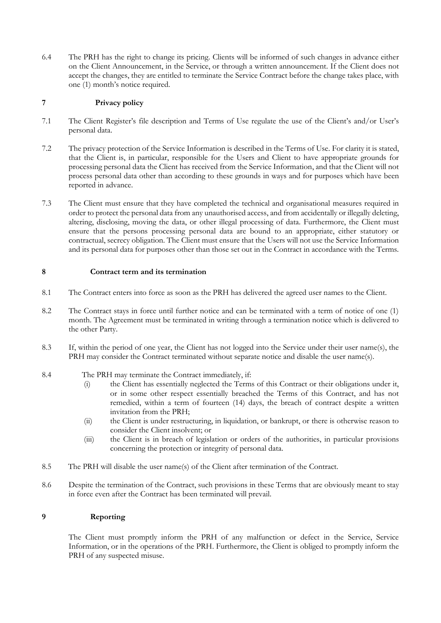The PRH has the right to change its pricing. Clients will be informed of such changes in advance either on the Client Announcement, in the Service, or through a written announcement. If the Client does not accept the changes, they are entitled to terminate the Service Contract before the change takes place, with The PRH has the right to change its pricing. Clients will be informed of such changes in advance either<br>on the Client Announcement, in the Service, or through a written announcement. If the Client does not<br>accept the chang one (1) month's notice required.

#### **7 Privacy policy**

- 7.1 The Client Register's file description and Terms of Use regulate the use of the Client's and/or User's personal data.
- 7.2 The privacy protection of the Service Information is described in the Terms of Use. For clarity it is stated, that the Client is, in particular, responsible for the Users and Client to have appropriate grounds for process personal data other than according to these grounds in ways and for purposes which have been processing personal data the Client has received from the Service Information, and that the Client will not reported in advance.
- 7.3 The Client must ensure that they have completed the technical and organisational measures required in order to protect the personal data from any unauthorised access, and from accidentally or illegally deleting, altering, disclosing, moving the data, or other illegal processing of data. Furthermore, the Client must ensure that the persons processing personal data are bound to an appropriate, either statutory or contractual, secrecy obligation. The Client must ensure that the Users will not use the Service Information and its personal data for purposes other than those set out in the Contract in accordance with the Terms.

#### **8 Contract term and its termination**

- 8.1 The Contract enters into force as soon as the PRH has delivered the agreed user names to the Client.
- 8.2 The Contract stays in force until further notice and can be terminated with a term of notice of one (1) month. The Agreement must be terminated in writing through a termination notice which is delivered to the other Party.
- 8.3 If, within the period of one year, the Client has not logged into the Service under their user name(s), the PRH may consider the Contract terminated without separate notice and disable the user name(s).
- 8.4 The PRH may terminate the Contract immediately, if:
	- (i) the Client has essentially neglected the Terms of this Contract or their obligations under it, or in some other respect essentially breached the Terms of this Contract, and has not remedied, within a term of fourteen (14) days, the breach of contract despite a written invitation from the PRH;
	- (ii) the Client is under restructuring, in liquidation, or bankrupt, or there is otherwise reason to consider the Client insolvent; or
	- (iii) the Client is in breach of legislation or orders of the authorities, in particular provisions concerning the protection or integrity of personal data.
- 8.5 The PRH will disable the user name(s) of the Client after termination of the Contract.
- 8.6 Despite the termination of the Contract, such provisions in these Terms that are obviously meant to stay in force even after the Contract has been terminated will prevail.

#### **9 Reporting**

 The Client must promptly inform the PRH of any malfunction or defect in the Service, Service Information, or in the operations of the PRH. Furthermore, the Client is obliged to promptly inform the PRH of any suspected misuse.